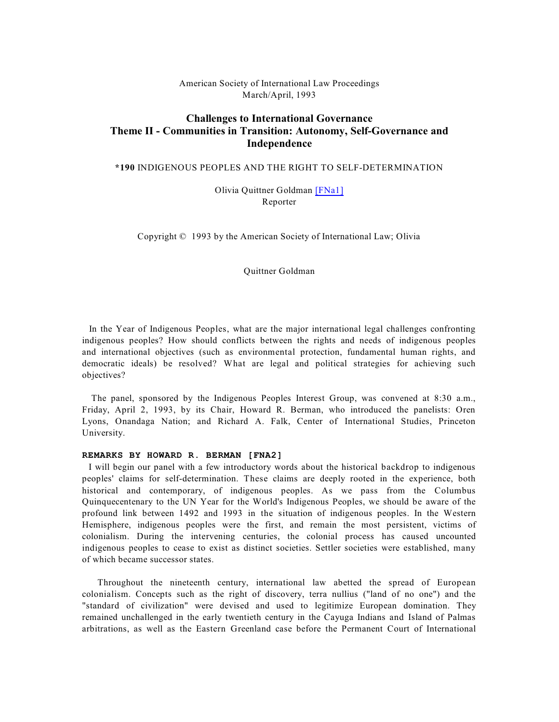American Society of International Law Proceedings March/April, 1993

# **Challenges to International Governance Theme II - Communities in Transition: Autonomy, Self-Governance and Independence**

## **\*190** INDIGENOUS PEOPLES AND THE RIGHT TO SELF-DETERMINATION

Olivia Quittner Goldman [\[FNa1\]](#page-0-0) Reporter

Copyright © 1993 by the American Society of International Law; Olivia

Quittner Goldman

In the Year of Indigenous Peoples, what are the major international legal challenges confronting indigenous peoples? How should conflicts between the rights and needs of indigenous peoples and international objectives (such as environmental protection, fundamental human rights, and democratic ideals) be resolved? What are legal and political strategies for achieving such objectives?

The panel, sponsored by the Indigenous Peoples Interest Group, was convened at 8:30 a.m., Friday, April 2, 1993, by its Chair, Howard R. Berman, who introduced the panelists: Oren Lyons, Onandaga Nation; and Richard A. Falk, Center of International Studies, Princeton University.

#### **REMARKS BY HOWARD R. BERMAN [FNA2]**

I will begin our panel with a few introductory words about the historical backdrop to indigenous peoples' claims for self-determination. These claims are deeply rooted in the experience, both historical and contemporary, of indigenous peoples. As we pass from the Columbus Quinquecentenary to the UN Year for the World's Indigenous Peoples, we should be aware of the profound link between 1492 and 1993 in the situation of indigenous peoples. In the Western Hemisphere, indigenous peoples were the first, and remain the most persistent, victims of colonialism. During the intervening centuries, the colonial process has caused uncounted indigenous peoples to cease to exist as distinct societies. Settler societies were established, many of which became successor states.

<span id="page-0-0"></span>Throughout the nineteenth century, international law abetted the spread of European colonialism. Concepts such as the right of discovery, terra nullius ("land of no one") and the "standard of civilization" were devised and used to legitimize European domination. They remained unchallenged in the early twentieth century in the Cayuga Indians and Island of Palmas arbitrations, as well as the Eastern Greenland case before the Permanent Court of International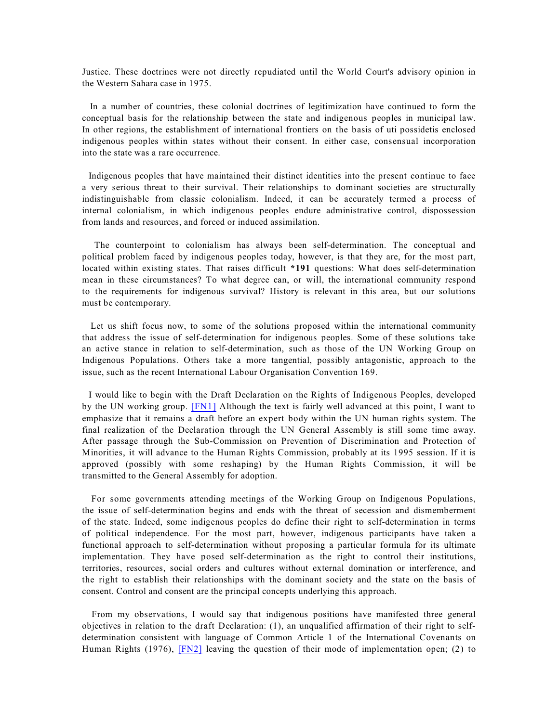Justice. These doctrines were not directly repudiated until the World Court's advisory opinion in the Western Sahara case in 1975.

In a number of countries, these colonial doctrines of legitimization have continued to form the conceptual basis for the relationship between the state and indigenous peoples in municipal law. In other regions, the establishment of international frontiers on the basis of uti possidetis enclosed indigenous peoples within states without their consent. In either case, consensual incorporation into the state was a rare occurrence.

Indigenous peoples that have maintained their distinct identities into the present continue to face a very serious threat to their survival. Their relationships to dominant societies are structurally indistinguishable from classic colonialism. Indeed, it can be accurately termed a process of internal colonialism, in which indigenous peoples endure administrative control, dispossession from lands and resources, and forced or induced assimilation.

The counterpoint to colonialism has always been self-determination. The conceptual and political problem faced by indigenous peoples today, however, is that they are, for the most part, located within existing states. That raises difficult **\*191** questions: What does self-determination mean in these circumstances? To what degree can, or will, the international community respond to the requirements for indigenous survival? History is relevant in this area, but our solutions must be contemporary.

Let us shift focus now, to some of the solutions proposed within the international community that address the issue of self-determination for indigenous peoples. Some of these solutions take an active stance in relation to self-determination, such as those of the UN Working Group on Indigenous Populations. Others take a more tangential, possibly antagonistic, approach to the issue, such as the recent International Labour Organisation Convention 169.

I would like to begin with the Draft Declaration on the Rights of Indigenous Peoples, developed by the UN working group. [\[FN1\]](#page-8-0) Although the text is fairly well advanced at this point, I want to emphasize that it remains a draft before an expert body within the UN human rights system. The final realization of the Declaration through the UN General Assembly is still some time away. After passage through the Sub-Commission on Prevention of Discrimination and Protection of Minorities, it will advance to the Human Rights Commission, probably at its 1995 session. If it is approved (possibly with some reshaping) by the Human Rights Commission, it will be transmitted to the General Assembly for adoption.

For some governments attending meetings of the Working Group on Indigenous Populations, the issue of self-determination begins and ends with the threat of secession and dismemberment of the state. Indeed, some indigenous peoples do define their right to self-determination in terms of political independence. For the most part, however, indigenous participants have taken a functional approach to self-determination without proposing a particular formula for its ultimate implementation. They have posed self-determination as the right to control their institutions, territories, resources, social orders and cultures without external domination or interference, and the right to establish their relationships with the dominant society and the state on the basis of consent. Control and consent are the principal concepts underlying this approach.

From my observations, I would say that indigenous positions have manifested three general objectives in relation to the draft Declaration: (1), an unqualified affirmation of their right to selfdetermination consistent with language of Common Article 1 of the International Covenants on Human Rights (1976), [\[FN2\]](#page-7-0) leaving the question of their mode of implementation open; (2) to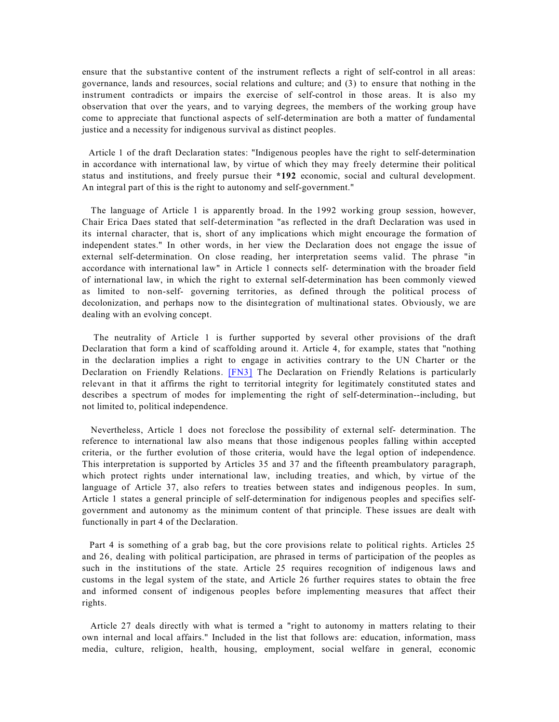ensure that the substantive content of the instrument reflects a right of self-control in all areas: governance, lands and resources, social relations and culture; and (3) to ensure that nothing in the instrument contradicts or impairs the exercise of self-control in those areas. It is also my observation that over the years, and to varying degrees, the members of the working group have come to appreciate that functional aspects of self-determination are both a matter of fundamental justice and a necessity for indigenous survival as distinct peoples.

Article 1 of the draft Declaration states: "Indigenous peoples have the right to self-determination in accordance with international law, by virtue of which they may freely determine their political status and institutions, and freely pursue their **\*192** economic, social and cultural development. An integral part of this is the right to autonomy and self-government."

The language of Article 1 is apparently broad. In the 1992 working group session, however, Chair Erica Daes stated that self-determination "as reflected in the draft Declaration was used in its internal character, that is, short of any implications which might encourage the formation of independent states." In other words, in her view the Declaration does not engage the issue of external self-determination. On close reading, her interpretation seems valid. The phrase "in accordance with international law" in Article 1 connects self- determination with the broader field of international law, in which the right to external self-determination has been commonly viewed as limited to non-self- governing territories, as defined through the political process of decolonization, and perhaps now to the disintegration of multinational states. Obviously, we are dealing with an evolving concept.

The neutrality of Article 1 is further supported by several other provisions of the draft Declaration that form a kind of scaffolding around it. Article 4, for example, states that "nothing in the declaration implies a right to engage in activities contrary to the UN Charter or the Declaration on Friendly Relations. [\[FN3\]](#page-7-0) The Declaration on Friendly Relations is particularly relevant in that it affirms the right to territorial integrity for legitimately constituted states and describes a spectrum of modes for implementing the right of self-determination--including, but not limited to, political independence.

Nevertheless, Article 1 does not foreclose the possibility of external self- determination. The reference to international law also means that those indigenous peoples falling within accepted criteria, or the further evolution of those criteria, would have the legal option of independence. This interpretation is supported by Articles 35 and 37 and the fifteenth preambulatory paragraph, which protect rights under international law, including treaties, and which, by virtue of the language of Article 37, also refers to treaties between states and indigenous peoples. In sum, Article 1 states a general principle of self-determination for indigenous peoples and specifies selfgovernment and autonomy as the minimum content of that principle. These issues are dealt with functionally in part 4 of the Declaration.

Part 4 is something of a grab bag, but the core provisions relate to political rights. Articles 25 and 26, dealing with political participation, are phrased in terms of participation of the peoples as such in the institutions of the state. Article 25 requires recognition of indigenous laws and customs in the legal system of the state, and Article 26 further requires states to obtain the free and informed consent of indigenous peoples before implementing measures that affect their rights.

Article 27 deals directly with what is termed a "right to autonomy in matters relating to their own internal and local affairs." Included in the list that follows are: education, information, mass media, culture, religion, health, housing, employment, social welfare in general, economic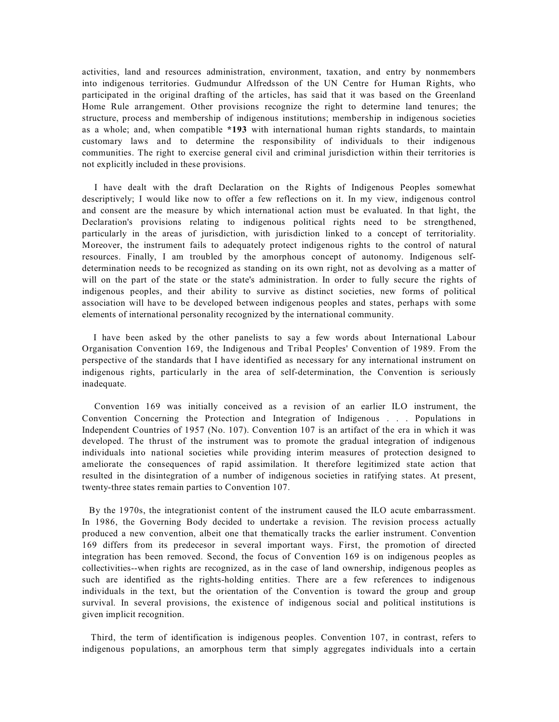activities, land and resources administration, environment, taxation, and entry by nonmembers into indigenous territories. Gudmundur Alfredsson of the UN Centre for Human Rights, who participated in the original drafting of the articles, has said that it was based on the Greenland Home Rule arrangement. Other provisions recognize the right to determine land tenures; the structure, process and membership of indigenous institutions; membership in indigenous societies as a whole; and, when compatible **\*193** with international human rights standards, to maintain customary laws and to determine the responsibility of individuals to their indigenous communities. The right to exercise general civil and criminal jurisdiction within their territories is not explicitly included in these provisions.

I have dealt with the draft Declaration on the Rights of Indigenous Peoples somewhat descriptively; I would like now to offer a few reflections on it. In my view, indigenous control and consent are the measure by which international action must be evaluated. In that light, the Declaration's provisions relating to indigenous political rights need to be strengthened, particularly in the areas of jurisdiction, with jurisdiction linked to a concept of territoriality. Moreover, the instrument fails to adequately protect indigenous rights to the control of natural resources. Finally, I am troubled by the amorphous concept of autonomy. Indigenous selfdetermination needs to be recognized as standing on its own right, not as devolving as a matter of will on the part of the state or the state's administration. In order to fully secure the rights of indigenous peoples, and their ability to survive as distinct societies, new forms of political association will have to be developed between indigenous peoples and states, perhaps with some elements of international personality recognized by the international community.

I have been asked by the other panelists to say a few words about International Labour Organisation Convention 169, the Indigenous and Tribal Peoples' Convention of 1989. From the perspective of the standards that I have identified as necessary for any international instrument on indigenous rights, particularly in the area of self-determination, the Convention is seriously inadequate.

Convention 169 was initially conceived as a revision of an earlier ILO instrument, the Convention Concerning the Protection and Integration of Indigenous . . . Populations in Independent Countries of 1957 (No. 107). Convention 107 is an artifact of the era in which it was developed. The thrust of the instrument was to promote the gradual integration of indigenous individuals into national societies while providing interim measures of protection designed to ameliorate the consequences of rapid assimilation. It therefore legitimized state action that resulted in the disintegration of a number of indigenous societies in ratifying states. At present, twenty-three states remain parties to Convention 107.

By the 1970s, the integrationist content of the instrument caused the ILO acute embarrassment. In 1986, the Governing Body decided to undertake a revision. The revision process actually produced a new convention, albeit one that thematically tracks the earlier instrument. Convention 169 differs from its predecesor in several important ways. First, the promotion of directed integration has been removed. Second, the focus of Convention 169 is on indigenous peoples as collectivities--when rights are recognized, as in the case of land ownership, indigenous peoples as such are identified as the rights-holding entities. There are a few references to indigenous individuals in the text, but the orientation of the Convention is toward the group and group survival. In several provisions, the existence of indigenous social and political institutions is given implicit recognition.

Third, the term of identification is indigenous peoples. Convention 107, in contrast, refers to indigenous populations, an amorphous term that simply aggregates individuals into a certain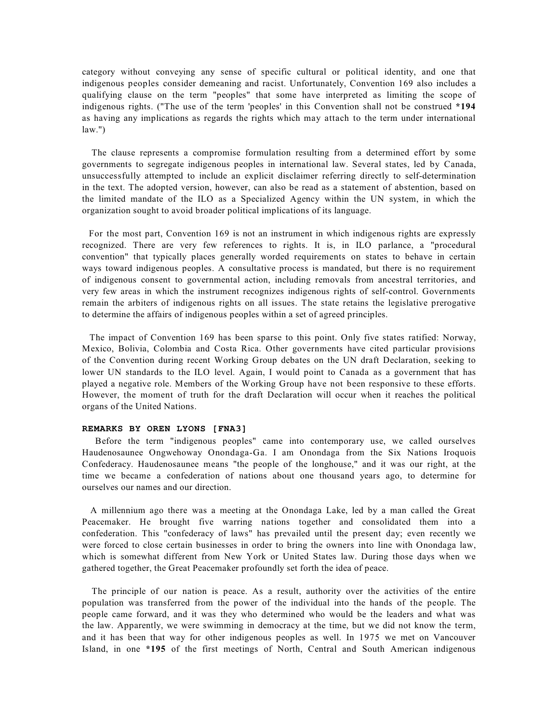category without conveying any sense of specific cultural or political identity, and one that indigenous peoples consider demeaning and racist. Unfortunately, Convention 169 also includes a qualifying clause on the term "peoples" that some have interpreted as limiting the scope of indigenous rights. ("The use of the term 'peoples' in this Convention shall not be construed **\*194** as having any implications as regards the rights which may attach to the term under international  $law."$ 

The clause represents a compromise formulation resulting from a determined effort by some governments to segregate indigenous peoples in international law. Several states, led by Canada, unsuccessfully attempted to include an explicit disclaimer referring directly to self-determination in the text. The adopted version, however, can also be read as a statement of abstention, based on the limited mandate of the ILO as a Specialized Agency within the UN system, in which the organization sought to avoid broader political implications of its language.

For the most part, Convention 169 is not an instrument in which indigenous rights are expressly recognized. There are very few references to rights. It is, in ILO parlance, a "procedural convention" that typically places generally worded requirements on states to behave in certain ways toward indigenous peoples. A consultative process is mandated, but there is no requirement of indigenous consent to governmental action, including removals from ancestral territories, and very few areas in which the instrument recognizes indigenous rights of self-control. Governments remain the arbiters of indigenous rights on all issues. The state retains the legislative prerogative to determine the affairs of indigenous peoples within a set of agreed principles.

The impact of Convention 169 has been sparse to this point. Only five states ratified: Norway, Mexico, Bolivia, Colombia and Costa Rica. Other governments have cited particular provisions of the Convention during recent Working Group debates on the UN draft Declaration, seeking to lower UN standards to the ILO level. Again, I would point to Canada as a government that has played a negative role. Members of the Working Group have not been responsive to these efforts. However, the moment of truth for the draft Declaration will occur when it reaches the political organs of the United Nations.

#### **REMARKS BY OREN LYONS [FNA3]**

Before the term "indigenous peoples" came into contemporary use, we called ourselves Haudenosaunee Ongwehoway Onondaga-Ga. I am Onondaga from the Six Nations Iroquois Confederacy. Haudenosaunee means "the people of the longhouse," and it was our right, at the time we became a confederation of nations about one thousand years ago, to determine for ourselves our names and our direction.

A millennium ago there was a meeting at the Onondaga Lake, led by a man called the Great Peacemaker. He brought five warring nations together and consolidated them into a confederation. This "confederacy of laws" has prevailed until the present day; even recently we were forced to close certain businesses in order to bring the owners into line with Onondaga law, which is somewhat different from New York or United States law. During those days when we gathered together, the Great Peacemaker profoundly set forth the idea of peace.

The principle of our nation is peace. As a result, authority over the activities of the entire population was transferred from the power of the individual into the hands of the people. The people came forward, and it was they who determined who would be the leaders and what was the law. Apparently, we were swimming in democracy at the time, but we did not know the term, and it has been that way for other indigenous peoples as well. In 1975 we met on Vancouver Island, in one **\*195** of the first meetings of North, Central and South American indigenous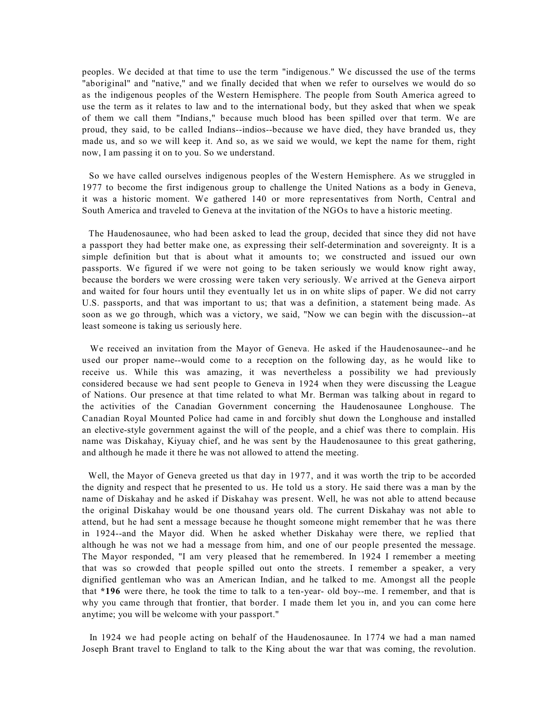peoples. We decided at that time to use the term "indigenous." We discussed the use of the terms "aboriginal" and "native," and we finally decided that when we refer to ourselves we would do so as the indigenous peoples of the Western Hemisphere. The people from South America agreed to use the term as it relates to law and to the international body, but they asked that when we speak of them we call them "Indians," because much blood has been spilled over that term. We are proud, they said, to be called Indians--indios--because we have died, they have branded us, they made us, and so we will keep it. And so, as we said we would, we kept the name for them, right now, I am passing it on to you. So we understand.

So we have called ourselves indigenous peoples of the Western Hemisphere. As we struggled in 1977 to become the first indigenous group to challenge the United Nations as a body in Geneva, it was a historic moment. We gathered 140 or more representatives from North, Central and South America and traveled to Geneva at the invitation of the NGOs to have a historic meeting.

The Haudenosaunee, who had been asked to lead the group, decided that since they did not have a passport they had better make one, as expressing their self-determination and sovereignty. It is a simple definition but that is about what it amounts to; we constructed and issued our own passports. We figured if we were not going to be taken seriously we would know right away, because the borders we were crossing were taken very seriously. We arrived at the Geneva airport and waited for four hours until they eventually let us in on white slips of paper. We did not carry U.S. passports, and that was important to us; that was a definition, a statement being made. As soon as we go through, which was a victory, we said, "Now we can begin with the discussion--at least someone is taking us seriously here.

We received an invitation from the Mayor of Geneva. He asked if the Haudenosaunee--and he used our proper name--would come to a reception on the following day, as he would like to receive us. While this was amazing, it was nevertheless a possibility we had previously considered because we had sent people to Geneva in 1924 when they were discussing the League of Nations. Our presence at that time related to what Mr. Berman was talking about in regard to the activities of the Canadian Government concerning the Haudenosaunee Longhouse. The Canadian Royal Mounted Police had came in and forcibly shut down the Longhouse and installed an elective-style government against the will of the people, and a chief was there to complain. His name was Diskahay, Kiyuay chief, and he was sent by the Haudenosaunee to this great gathering, and although he made it there he was not allowed to attend the meeting.

Well, the Mayor of Geneva greeted us that day in 1977, and it was worth the trip to be accorded the dignity and respect that he presented to us. He told us a story. He said there was a man by the name of Diskahay and he asked if Diskahay was present. Well, he was not able to attend because the original Diskahay would be one thousand years old. The current Diskahay was not able to attend, but he had sent a message because he thought someone might remember that he was there in 1924--and the Mayor did. When he asked whether Diskahay were there, we replied that although he was not we had a message from him, and one of our people presented the message. The Mayor responded, "I am very pleased that he remembered. In 1924 I remember a meeting that was so crowded that people spilled out onto the streets. I remember a speaker, a very dignified gentleman who was an American Indian, and he talked to me. Amongst all the people that **\*196** were there, he took the time to talk to a ten-year- old boy--me. I remember, and that is why you came through that frontier, that border. I made them let you in, and you can come here anytime; you will be welcome with your passport."

In 1924 we had people acting on behalf of the Haudenosaunee. In 1774 we had a man named Joseph Brant travel to England to talk to the King about the war that was coming, the revolution.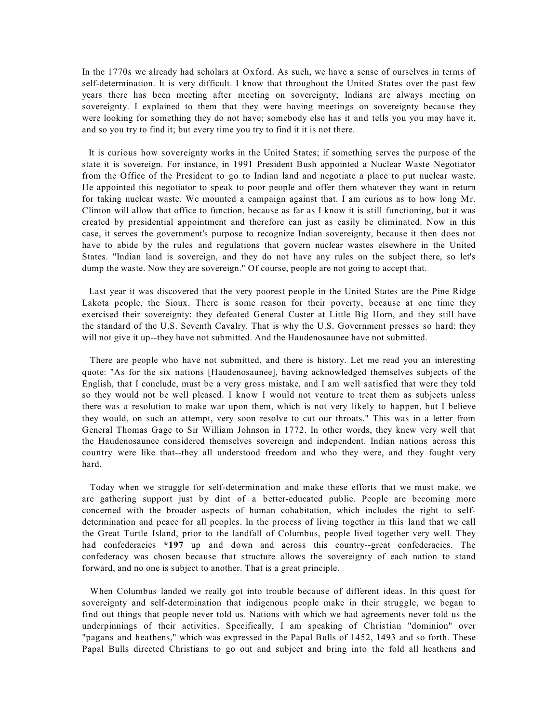In the 1770s we already had scholars at Oxford. As such, we have a sense of ourselves in terms of self-determination. It is very difficult. I know that throughout the United States over the past few years there has been meeting after meeting on sovereignty; Indians are always meeting on sovereignty. I explained to them that they were having meetings on sovereignty because they were looking for something they do not have; somebody else has it and tells you you may have it, and so you try to find it; but every time you try to find it it is not there.

It is curious how sovereignty works in the United States; if something serves the purpose of the state it is sovereign. For instance, in 1991 President Bush appointed a Nuclear Waste Negotiator from the Office of the President to go to Indian land and negotiate a place to put nuclear waste. He appointed this negotiator to speak to poor people and offer them whatever they want in return for taking nuclear waste. We mounted a campaign against that. I am curious as to how long Mr. Clinton will allow that office to function, because as far as I know it is still functioning, but it was created by presidential appointment and therefore can just as easily be eliminated. Now in this case, it serves the government's purpose to recognize Indian sovereignty, because it then does not have to abide by the rules and regulations that govern nuclear wastes elsewhere in the United States. "Indian land is sovereign, and they do not have any rules on the subject there, so let's dump the waste. Now they are sovereign." Of course, people are not going to accept that.

Last year it was discovered that the very poorest people in the United States are the Pine Ridge Lakota people, the Sioux. There is some reason for their poverty, because at one time they exercised their sovereignty: they defeated General Custer at Little Big Horn, and they still have the standard of the U.S. Seventh Cavalry. That is why the U.S. Government presses so hard: they will not give it up--they have not submitted. And the Haudenosaunee have not submitted.

There are people who have not submitted, and there is history. Let me read you an interesting quote: "As for the six nations [Haudenosaunee], having acknowledged themselves subjects of the English, that I conclude, must be a very gross mistake, and I am well satisfied that were they told so they would not be well pleased. I know I would not venture to treat them as subjects unless there was a resolution to make war upon them, which is not very likely to happen, but I believe they would, on such an attempt, very soon resolve to cut our throats." This was in a letter from General Thomas Gage to Sir William Johnson in 1772. In other words, they knew very well that the Haudenosaunee considered themselves sovereign and independent. Indian nations across this country were like that--they all understood freedom and who they were, and they fought very hard.

Today when we struggle for self-determination and make these efforts that we must make, we are gathering support just by dint of a better-educated public. People are becoming more concerned with the broader aspects of human cohabitation, which includes the right to selfdetermination and peace for all peoples. In the process of living together in this land that we call the Great Turtle Island, prior to the landfall of Columbus, people lived together very well. They had confederacies **\*197** up and down and across this country--great confederacies. The confederacy was chosen because that structure allows the sovereignty of each nation to stand forward, and no one is subject to another. That is a great principle.

When Columbus landed we really got into trouble because of different ideas. In this quest for sovereignty and self-determination that indigenous people make in their struggle, we began to find out things that people never told us. Nations with which we had agreements never told us the underpinnings of their activities. Specifically, I am speaking of Christian "dominion" over "pagans and heathens," which was expressed in the Papal Bulls of 1452, 1493 and so forth. These Papal Bulls directed Christians to go out and subject and bring into the fold all heathens and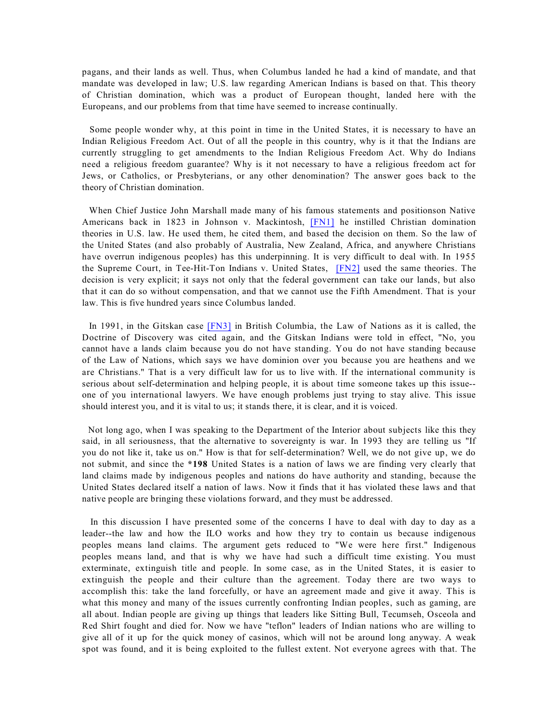pagans, and their lands as well. Thus, when Columbus landed he had a kind of mandate, and that mandate was developed in law; U.S. law regarding American Indians is based on that. This theory of Christian domination, which was a product of European thought, landed here with the Europeans, and our problems from that time have seemed to increase continually.

Some people wonder why, at this point in time in the United States, it is necessary to have an Indian Religious Freedom Act. Out of all the people in this country, why is it that the Indians are currently struggling to get amendments to the Indian Religious Freedom Act. Why do Indians need a religious freedom guarantee? Why is it not necessary to have a religious freedom act for Jews, or Catholics, or Presbyterians, or any other denomination? The answer goes back to the theory of Christian domination.

When Chief Justice John Marshall made many of his famous statements and positionson Native Americans back in 1823 in Johnson v. Mackintosh, [\[FN1\]](#page-8-0) he instilled Christian domination theories in U.S. law. He used them, he cited them, and based the decision on them. So the law of the United States (and also probably of Australia, New Zealand, Africa, and anywhere Christians have overrun indigenous peoples) has this underpinning. It is very difficult to deal with. In 1955 the Supreme Court, in Tee-Hit-Ton Indians v. United States, [\[FN2\]](#page-7-0) used the same theories. The decision is very explicit; it says not only that the federal government can take our lands, but also that it can do so without compensation, and that we cannot use the Fifth Amendment. That is your law. This is five hundred years since Columbus landed.

In 1991, in the Gitskan case [\[FN3\]](#page-7-0) in British Columbia, the Law of Nations as it is called, the Doctrine of Discovery was cited again, and the Gitskan Indians were told in effect, "No, you cannot have a lands claim because you do not have standing. You do not have standing because of the Law of Nations, which says we have dominion over you because you are heathens and we are Christians." That is a very difficult law for us to live with. If the international community is serious about self-determination and helping people, it is about time someone takes up this issue- one of you international lawyers. We have enough problems just trying to stay alive. This issue should interest you, and it is vital to us; it stands there, it is clear, and it is voiced.

Not long ago, when I was speaking to the Department of the Interior about subjects like this they said, in all seriousness, that the alternative to sovereignty is war. In 1993 they are telling us "If you do not like it, take us on." How is that for self-determination? Well, we do not give up, we do not submit, and since the **\*198** United States is a nation of laws we are finding very clearly that land claims made by indigenous peoples and nations do have authority and standing, because the United States declared itself a nation of laws. Now it finds that it has violated these laws and that native people are bringing these violations forward, and they must be addressed.

<span id="page-7-0"></span>In this discussion I have presented some of the concerns I have to deal with day to day as a leader--the law and how the ILO works and how they try to contain us because indigenous peoples means land claims. The argument gets reduced to "We were here first." Indigenous peoples means land, and that is why we have had such a difficult time existing. You must exterminate, extinguish title and people. In some case, as in the United States, it is easier to extinguish the people and their culture than the agreement. Today there are two ways to accomplish this: take the land forcefully, or have an agreement made and give it away. This is what this money and many of the issues currently confronting Indian peoples, such as gaming, are all about. Indian people are giving up things that leaders like Sitting Bull, Tecumseh, Osceola and Red Shirt fought and died for. Now we have "teflon" leaders of Indian nations who are willing to give all of it up for the quick money of casinos, which will not be around long anyway. A weak spot was found, and it is being exploited to the fullest extent. Not everyone agrees with that. The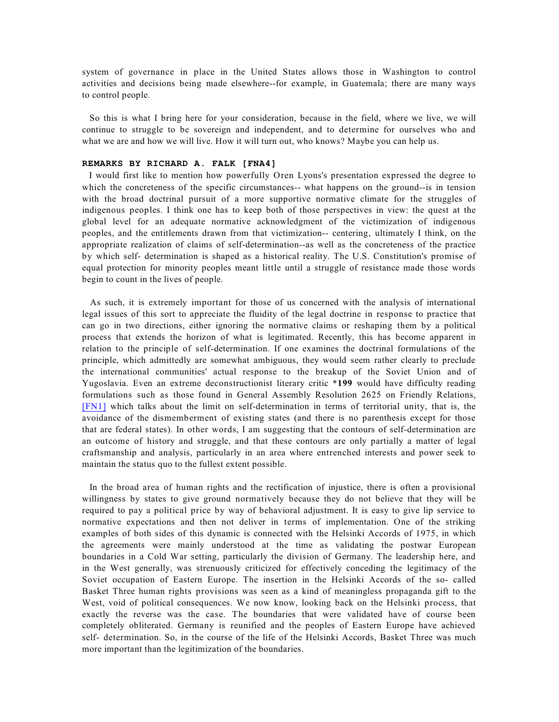system of governance in place in the United States allows those in Washington to control activities and decisions being made elsewhere--for example, in Guatemala; there are many ways to control people.

So this is what I bring here for your consideration, because in the field, where we live, we will continue to struggle to be sovereign and independent, and to determine for ourselves who and what we are and how we will live. How it will turn out, who knows? Maybe you can help us.

### **REMARKS BY RICHARD A. FALK [FNA4]**

I would first like to mention how powerfully Oren Lyons's presentation expressed the degree to which the concreteness of the specific circumstances-- what happens on the ground--is in tension with the broad doctrinal pursuit of a more supportive normative climate for the struggles of indigenous peoples. I think one has to keep both of those perspectives in view: the quest at the global level for an adequate normative acknowledgment of the victimization of indigenous peoples, and the entitlements drawn from that victimization-- centering, ultimately I think, on the appropriate realization of claims of self-determination--as well as the concreteness of the practice by which self- determination is shaped as a historical reality. The U.S. Constitution's promise of equal protection for minority peoples meant little until a struggle of resistance made those words begin to count in the lives of people.

As such, it is extremely important for those of us concerned with the analysis of international legal issues of this sort to appreciate the fluidity of the legal doctrine in response to practice that can go in two directions, either ignoring the normative claims or reshaping them by a political process that extends the horizon of what is legitimated. Recently, this has become apparent in relation to the principle of self-determination. If one examines the doctrinal formulations of the principle, which admittedly are somewhat ambiguous, they would seem rather clearly to preclude the international communities' actual response to the breakup of the Soviet Union and of Yugoslavia. Even an extreme deconstructionist literary critic **\*199** would have difficulty reading formulations such as those found in General Assembly Resolution 2625 on Friendly Relations, [\[FN1\]](#page-8-0) which talks about the limit on self-determination in terms of territorial unity, that is, the avoidance of the dismemberment of existing states (and there is no parenthesis except for those that are federal states). In other words, I am suggesting that the contours of self-determination are an outcome of history and struggle, and that these contours are only partially a matter of legal craftsmanship and analysis, particularly in an area where entrenched interests and power seek to maintain the status quo to the fullest extent possible.

<span id="page-8-0"></span>In the broad area of human rights and the rectification of injustice, there is often a provisional willingness by states to give ground normatively because they do not believe that they will be required to pay a political price by way of behavioral adjustment. It is easy to give lip service to normative expectations and then not deliver in terms of implementation. One of the striking examples of both sides of this dynamic is connected with the Helsinki Accords of 1975, in which the agreements were mainly understood at the time as validating the postwar European boundaries in a Cold War setting, particularly the division of Germany. The leadership here, and in the West generally, was strenuously criticized for effectively conceding the legitimacy of the Soviet occupation of Eastern Europe. The insertion in the Helsinki Accords of the so- called Basket Three human rights provisions was seen as a kind of meaningless propaganda gift to the West, void of political consequences. We now know, looking back on the Helsinki process, that exactly the reverse was the case. The boundaries that were validated have of course been completely obliterated. Germany is reunified and the peoples of Eastern Europe have achieved self- determination. So, in the course of the life of the Helsinki Accords, Basket Three was much more important than the legitimization of the boundaries.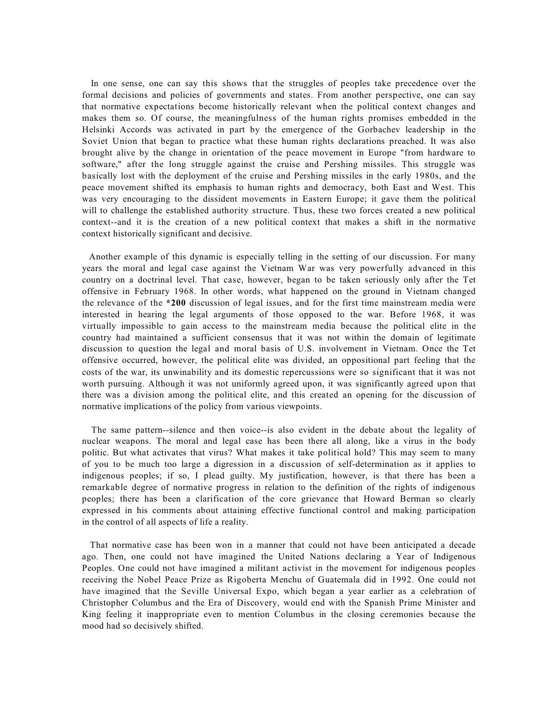In one sense, one can say this shows that the struggles of peoples take precedence over the formal decisions and policies of governments and states. From another perspective, one can say that normative expectations become historically relevant when the political context changes and makes them so. Of course, the meaningfulness of the human rights promises embedded in the Helsinki Accords was activated in part by the emergence of the Gorbachev leadership in the Soviet Union that began to practice what these human rights declarations preached. It was also brought alive by the change in orientation of the peace movement in Europe "from hardware to software," after the long struggle against the cruise and Pershing missiles. This struggle was basically lost with the deployment of the cruise and Pershing missiles in the early 1980s, and the peace movement shifted its emphasis to human rights and democracy, both East and West. This was very encouraging to the dissident movements in Eastern Europe; it gave them the political will to challenge the established authority structure. Thus, these two forces created a new political context--and it is the creation of a new political context that makes a shift in the normative context historically significant and decisive.

Another example of this dynamic is especially telling in the setting of our discussion. For many years the moral and legal case against the Vietnam War was very powerfully advanced in this country on a doctrinal level. That case, however, began to be taken seriously only after the Tet offensive in February 1968. In other words, what happened on the ground in Vietnam changed the relevance of the **\*200** discussion of legal issues, and for the first time mainstream media were interested in hearing the legal arguments of those opposed to the war. Before 1968, it was virtually impossible to gain access to the mainstream media because the political elite in the country had maintained a sufficient consensus that it was not within the domain of legitimate discussion to question the legal and moral basis of U.S. involvement in Vietnam. Once the Tet offensive occurred, however, the political elite was divided, an oppositional part feeling that the costs of the war, its unwinability and its domestic repercussions were so significant that it was not worth pursuing. Although it was not uniformly agreed upon, it was significantly agreed upon that there was a division among the political elite, and this created an opening for the discussion of normative implications of the policy from various viewpoints.

The same pattern--silence and then voice--is also evident in the debate about the legality of nuclear weapons. The moral and legal case has been there all along, like a virus in the body politic. But what activates that virus? What makes it take political hold? This may seem to many of you to be much too large a digression in a discussion of self-determination as it applies to indigenous peoples; if so, I plead guilty. My justification, however, is that there has been a remarkable degree of normative progress in relation to the definition of the rights of indigenous peoples; there has been a clarification of the core grievance that Howard Berman so clearly expressed in his comments about attaining effective functional control and making participation in the control of all aspects of life a reality.

That normative case has been won in a manner that could not have been anticipated a decade ago. Then, one could not have imagined the United Nations declaring a Year of Indigenous Peoples. One could not have imagined a militant activist in the movement for indigenous peoples receiving the Nobel Peace Prize as Rigoberta Menchu of Guatemala did in 1992. One could not have imagined that the Seville Universal Expo, which began a year earlier as a celebration of Christopher Columbus and the Era of Discovery, would end with the Spanish Prime Minister and King feeling it inappropriate even to mention Columbus in the closing ceremonies because the mood had so decisively shifted.